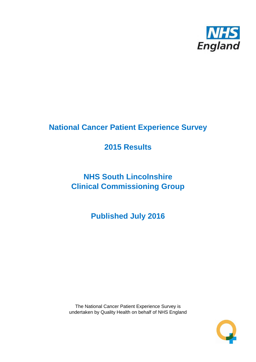

# **National Cancer Patient Experience Survey**

# **2015 Results**

# **NHS South Lincolnshire Clinical Commissioning Group**

**Published July 2016**

The National Cancer Patient Experience Survey is undertaken by Quality Health on behalf of NHS England

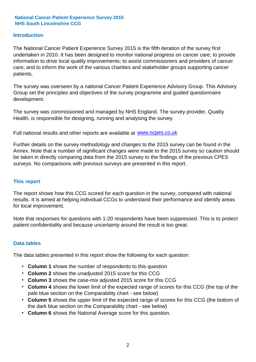## **Introduction**

The National Cancer Patient Experience Survey 2015 is the fifth iteration of the survey first undertaken in 2010. It has been designed to monitor national progress on cancer care; to provide information to drive local quality improvements; to assist commissioners and providers of cancer care; and to inform the work of the various charities and stakeholder groups supporting cancer patients.

The survey was overseen by a national Cancer Patient Experience Advisory Group. This Advisory Group set the principles and objectives of the survey programme and guided questionnaire development.

The survey was commissioned and managed by NHS England. The survey provider, Quality Health, is responsible for designing, running and analysing the survey.

Full national results and other reports are available at www.ncpes.co.uk

Further details on the survey methodology and changes to the 2015 survey can be found in the Annex. Note that a number of significant changes were made to the 2015 survey so caution should be taken in directly comparing data from the 2015 survey to the findings of the previous CPES surveys. No comparisons with previous surveys are presented in this report.

### **This report**

The report shows how this CCG scored for each question in the survey, compared with national results. It is aimed at helping individual CCGs to understand their performance and identify areas for local improvement.

Note that responses for questions with 1-20 respondents have been suppressed. This is to protect patient confidentiality and because uncertainty around the result is too great.

### **Data tables**

The data tables presented in this report show the following for each question:

- **Column 1** shows the number of respondents to this question
- **Column 2** shows the unadjusted 2015 score for this CCG
- **Column 3** shows the case-mix adjusted 2015 score for this CCG
- **Column 4** shows the lower limit of the expected range of scores for this CCG (the top of the pale blue section on the Comparability chart - see below)
- **Column 5** shows the upper limit of the expected range of scores for this CCG (the bottom of the dark blue section on the Comparability chart - see below)
- **Column 6** shows the National Average score for this question.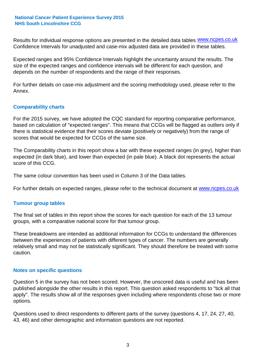Results for individual response options are presented in the detailed data tables **WWW.ncpes.co.uk** Confidence Intervals for unadjusted and case-mix adjusted data are provided in these tables.

Expected ranges and 95% Confidence Intervals highlight the uncertainty around the results. The size of the expected ranges and confidence intervals will be different for each question, and depends on the number of respondents and the range of their responses.

For further details on case-mix adjustment and the scoring methodology used, please refer to the Annex.

## **Comparability charts**

For the 2015 survey, we have adopted the CQC standard for reporting comparative performance, based on calculation of "expected ranges". This means that CCGs will be flagged as outliers only if there is statistical evidence that their scores deviate (positively or negatively) from the range of scores that would be expected for CCGs of the same size.

The Comparability charts in this report show a bar with these expected ranges (in grey), higher than expected (in dark blue), and lower than expected (in pale blue). A black dot represents the actual score of this CCG.

The same colour convention has been used in Column 3 of the Data tables.

For further details on expected ranges, please refer to the technical document at **www.ncpes.co.uk** 

### **Tumour group tables**

The final set of tables in this report show the scores for each question for each of the 13 tumour groups, with a comparative national score for that tumour group.

These breakdowns are intended as additional information for CCGs to understand the differences between the experiences of patients with different types of cancer. The numbers are generally relatively small and may not be statistically significant. They should therefore be treated with some caution.

### **Notes on specific questions**

Question 5 in the survey has not been scored. However, the unscored data is useful and has been published alongside the other results in this report. This question asked respondents to "tick all that apply". The results show all of the responses given including where respondents chose two or more options.

Questions used to direct respondents to different parts of the survey (questions 4, 17, 24, 27, 40, 43, 46) and other demographic and information questions are not reported.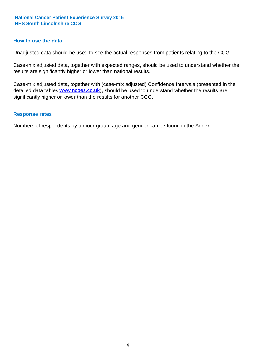#### **How to use the data**

Unadjusted data should be used to see the actual responses from patients relating to the CCG.

Case-mix adjusted data, together with expected ranges, should be used to understand whether the results are significantly higher or lower than national results.

Case-mix adjusted data, together with (case-mix adjusted) Confidence Intervals (presented in the detailed data tables **www.ncpes.co.uk**), should be used to understand whether the results are significantly higher or lower than the results for another CCG.

#### **Response rates**

Numbers of respondents by tumour group, age and gender can be found in the Annex.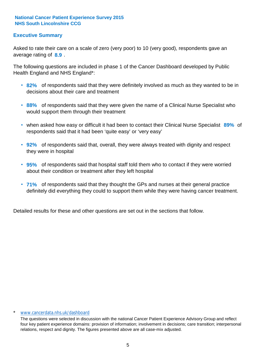## **Executive Summary**

average rating of **8.9**. Asked to rate their care on a scale of zero (very poor) to 10 (very good), respondents gave an

The following questions are included in phase 1 of the Cancer Dashboard developed by Public Health England and NHS England\*:

- **82%** of respondents said that they were definitely involved as much as they wanted to be in decisions about their care and treatment
- **88%** of respondents said that they were given the name of a Clinical Nurse Specialist who would support them through their treatment
- when asked how easy or difficult it had been to contact their Clinical Nurse Specialist 89% of respondents said that it had been 'quite easy' or 'very easy'
- **92%** of respondents said that, overall, they were always treated with dignity and respect they were in hospital
- **95%** of respondents said that hospital staff told them who to contact if they were worried about their condition or treatment after they left hospital
- **71%** of respondents said that they thought the GPs and nurses at their general practice definitely did everything they could to support them while they were having cancer treatment.

Detailed results for these and other questions are set out in the sections that follow.

#### www.cancerdata.nhs.uk/dashboard

The questions were selected in discussion with the national Cancer Patient Experience Advisory Group and reflect four key patient experience domains: provision of information; involvement in decisions; care transition; interpersonal relations, respect and dignity. The figures presented above are all case-mix adjusted.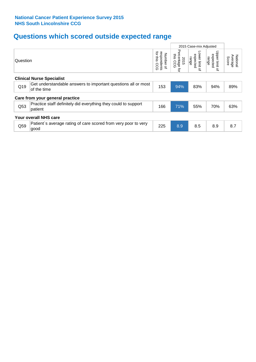# **Questions which scored outside expected range**

|                                  |                                                                              |                                             |                                                | 2015 Case-mix Adjusted                             |                                                    |                              |  |  |
|----------------------------------|------------------------------------------------------------------------------|---------------------------------------------|------------------------------------------------|----------------------------------------------------|----------------------------------------------------|------------------------------|--|--|
| Question                         |                                                                              | for this<br>respondents<br>Number of<br>ccg | Percentage<br>this<br>2015<br>CCG<br>$\vec{q}$ | Lower limit<br>expected<br>range<br>$\overline{a}$ | Upper limit<br>expected<br>range<br>$\vec{\sigma}$ | Average<br>National<br>Score |  |  |
| <b>Clinical Nurse Specialist</b> |                                                                              |                                             |                                                |                                                    |                                                    |                              |  |  |
| Q19                              | Get understandable answers to important questions all or most<br>of the time | 153                                         | 94%                                            | 83%                                                | 94%                                                | 89%                          |  |  |
|                                  | Care from your general practice                                              |                                             |                                                |                                                    |                                                    |                              |  |  |
| Q53                              | Practice staff definitely did everything they could to support<br>patient    | 166                                         | 71%                                            | 55%                                                | 70%                                                | 63%                          |  |  |
|                                  | Your overall NHS care                                                        |                                             |                                                |                                                    |                                                    |                              |  |  |
| Q59                              | Patient's average rating of care scored from very poor to very<br>good       | 225                                         | 8.9                                            | 8.5                                                | 8.9                                                | 8.7                          |  |  |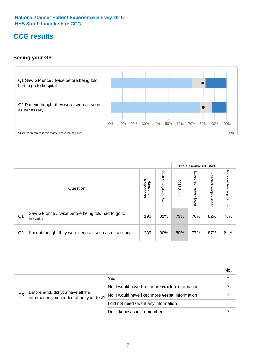## **CCG results**

## **Seeing your GP**



|    |                                                                |                                         |                             |               | 2015 Case-mix Adjusted     |                            |                           |
|----|----------------------------------------------------------------|-----------------------------------------|-----------------------------|---------------|----------------------------|----------------------------|---------------------------|
|    | Question                                                       | respondents<br>Number<br>$\overline{a}$ | 2015<br>Unadjusted<br>Score | 2015<br>Score | Expected<br>range<br>lower | Expected<br>range<br>nbber | National Average<br>Score |
| Q1 | Saw GP once / twice before being told had to go to<br>hospital | 196                                     | 81%                         | 79%           | 70%                        | 82%                        | 76%                       |
| Q2 | Patient thought they were seen as soon as necessary            | 235                                     | 80%                         | 80%           | 77%                        | 87%                        | 82%                       |

|    |                                                                             |                                                       | No.     |
|----|-----------------------------------------------------------------------------|-------------------------------------------------------|---------|
|    |                                                                             | Yes                                                   | $\star$ |
|    | Beforehand, did you have all the<br>information you needed about your test? | No, I would have liked more written information       |         |
| Q5 |                                                                             | No, I would have liked more <b>verbal</b> information |         |
|    |                                                                             | I did not need / want any information                 | $\star$ |
|    |                                                                             | Don't know / can't remember                           | $\star$ |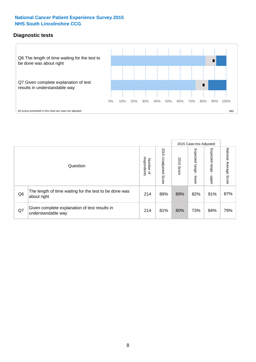## **Diagnostic tests**



|                |                                                                       |                                    |                             |               | 2015 Case-mix Adjusted  |                         |                           |
|----------------|-----------------------------------------------------------------------|------------------------------------|-----------------------------|---------------|-------------------------|-------------------------|---------------------------|
|                | Question                                                              | Number of<br>respondents<br>Number | 2015<br>Unadjusted<br>Score | 2015<br>Score | Expected range<br>lower | Expected range<br>nbber | National Average<br>Score |
| Q <sub>6</sub> | The length of time waiting for the test to be done was<br>about right | 214                                | 89%                         | 89%           | 82%                     | 91%                     | 87%                       |
| Q7             | Given complete explanation of test results in<br>understandable way   | 214                                | 81%                         | 80%           | 73%                     | 84%                     | 79%                       |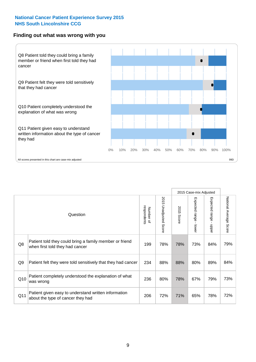## **Finding out what was wrong with you**



|                |                                                                                            |                          |                       |               | 2015 Case-mix Adjusted                  |                                           |                        |
|----------------|--------------------------------------------------------------------------------------------|--------------------------|-----------------------|---------------|-----------------------------------------|-------------------------------------------|------------------------|
|                | Question                                                                                   | respondents<br>Number of | 2015 Unadjusted Score | 2015<br>Score | Expected range<br>$\mathbf{I}$<br>lower | Expected range<br>$\blacksquare$<br>nbber | National Average Score |
| Q8             | Patient told they could bring a family member or friend<br>when first told they had cancer | 199                      | 78%                   | 78%           | 73%                                     | 84%                                       | 79%                    |
| Q <sub>9</sub> | Patient felt they were told sensitively that they had cancer                               | 234                      | 88%                   | 88%           | 80%                                     | 89%                                       | 84%                    |
| Q10            | Patient completely understood the explanation of what<br>was wrong                         | 236                      | 80%                   | 78%           | 67%                                     | 79%                                       | 73%                    |
| Q11            | Patient given easy to understand written information<br>about the type of cancer they had  | 206                      | 72%                   | 71%           | 65%                                     | 78%                                       | 72%                    |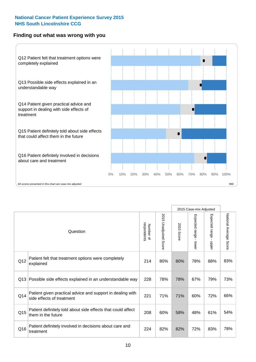## **Finding out what was wrong with you**



|                 |                                                                                         |                          |                                 |               | 2015 Case-mix Adjusted                  |                        |                        |
|-----------------|-----------------------------------------------------------------------------------------|--------------------------|---------------------------------|---------------|-----------------------------------------|------------------------|------------------------|
|                 | Question                                                                                | respondents<br>Number of | 2015<br><b>Unadjusted Score</b> | 2015<br>Score | Expected range<br>$\mathbf{r}$<br>lower | Expected range - upper | National Average Score |
| Q12             | Patient felt that treatment options were completely<br>explained                        | 214                      | 80%                             | 80%           | 78%                                     | 88%                    | 83%                    |
| Q13             | Possible side effects explained in an understandable way                                | 228                      | 78%                             | 78%           | 67%                                     | 79%                    | 73%                    |
| Q14             | Patient given practical advice and support in dealing with<br>side effects of treatment | 221                      | 71%                             | 71%           | 60%                                     | 72%                    | 66%                    |
| Q <sub>15</sub> | Patient definitely told about side effects that could affect<br>them in the future      | 208                      | 60%                             | 58%           | 48%                                     | 61%                    | 54%                    |
| Q16             | Patient definitely involved in decisions about care and<br>treatment                    | 224                      | 82%                             | 82%           | 72%                                     | 83%                    | 78%                    |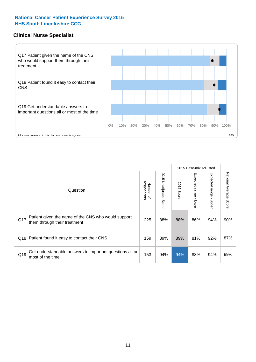## **Clinical Nurse Specialist**



|     |                                                                                     |                          |                       |               | 2015 Case-mix Adjusted  |                         |                                  |
|-----|-------------------------------------------------------------------------------------|--------------------------|-----------------------|---------------|-------------------------|-------------------------|----------------------------------|
|     | Question                                                                            | respondents<br>Number of | 2015 Unadjusted Score | 2015<br>Score | Expected range<br>lower | Expected range<br>nbber | National Average<br><b>Score</b> |
| Q17 | Patient given the name of the CNS who would support<br>them through their treatment | 225                      | 88%                   | 88%           | 86%                     | 94%                     | 90%                              |
|     | Q18 Patient found it easy to contact their CNS                                      | 159                      | 89%                   | 89%           | 81%                     | 92%                     | 87%                              |
| Q19 | Get understandable answers to important questions all or<br>most of the time        | 153                      | 94%                   | 94%           | 83%                     | 94%                     | 89%                              |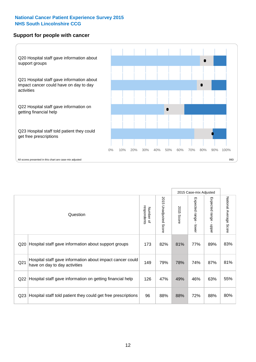## **Support for people with cancer**



|                 |                                                                                            |                          |                                 |               | 2015 Case-mix Adjusted  |                                         |                        |
|-----------------|--------------------------------------------------------------------------------------------|--------------------------|---------------------------------|---------------|-------------------------|-----------------------------------------|------------------------|
|                 | Question                                                                                   | respondents<br>Number of | 2015<br><b>Unadjusted Score</b> | 2015<br>Score | Expected range<br>lower | Expected range<br>$\mathbf{I}$<br>nbber | National Average Score |
| Q <sub>20</sub> | Hospital staff gave information about support groups                                       | 173                      | 82%                             | 81%           | 77%                     | 89%                                     | 83%                    |
| Q <sub>21</sub> | Hospital staff gave information about impact cancer could<br>have on day to day activities | 149                      | 79%                             | 78%           | 74%                     | 87%                                     | 81%                    |
| Q22             | Hospital staff gave information on getting financial help                                  | 126                      | 47%                             | 49%           | 46%                     | 63%                                     | 55%                    |
| Q <sub>23</sub> | Hospital staff told patient they could get free prescriptions                              | 96                       | 88%                             | 88%           | 72%                     | 88%                                     | 80%                    |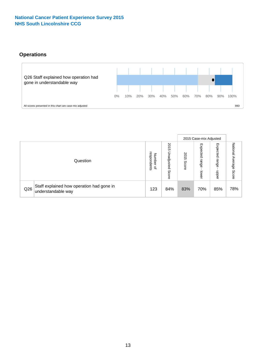## **Operations**



|     |                                                                 |                                              |                             |               | 2015 Case-mix Adjusted     |                           |                              |
|-----|-----------------------------------------------------------------|----------------------------------------------|-----------------------------|---------------|----------------------------|---------------------------|------------------------------|
|     | Question                                                        | respondents<br>Number<br>$\overline{\sigma}$ | 2015<br>Unadjusted<br>Score | 2015<br>Score | Expected<br>range<br>lower | Expected<br>range<br>dddn | National<br>Average<br>Score |
| Q26 | Staff explained how operation had gone in<br>understandable way | 123                                          | 84%                         | 83%           | 70%                        | 85%                       | 78%                          |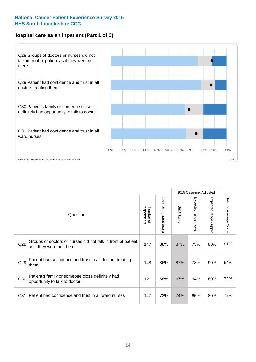## **Hospital care as an inpatient (Part 1 of 3)**



All scores presented in this chart are case-mix adjusted  $99D$ 

|                 |                                                                                           |                          |                          |                      | 2015 Case-mix Adjusted                  |                                           |                        |
|-----------------|-------------------------------------------------------------------------------------------|--------------------------|--------------------------|----------------------|-----------------------------------------|-------------------------------------------|------------------------|
|                 | Question                                                                                  | respondents<br>Number of | 2015<br>Unadjusted Score | 2015<br><b>Score</b> | Expected range<br>$\mathbf{r}$<br>lower | Expected range<br>$\blacksquare$<br>nbber | National Average Score |
| Q28             | Groups of doctors or nurses did not talk in front of patient<br>as if they were not there | 147                      | 88%                      | 87%                  | 75%                                     | 88%                                       | 81%                    |
| Q29             | Patient had confidence and trust in all doctors treating<br>them                          | 148                      | 86%                      | 87%                  | 78%                                     | 90%                                       | 84%                    |
| Q30             | Patient's family or someone close definitely had<br>opportunity to talk to doctor         | 121                      | 68%                      | 67%                  | 64%                                     | 80%                                       | 72%                    |
| Q <sub>31</sub> | Patient had confidence and trust in all ward nurses                                       | 147                      | 73%                      | 74%                  | 65%                                     | 80%                                       | 72%                    |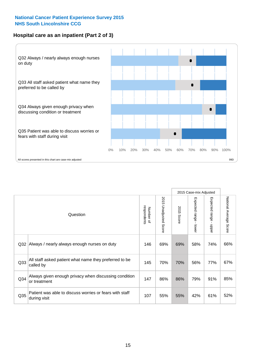## **Hospital care as an inpatient (Part 2 of 3)**



|                 |                                                                         |                          |                          |               | 2015 Case-mix Adjusted    |                                         |                        |
|-----------------|-------------------------------------------------------------------------|--------------------------|--------------------------|---------------|---------------------------|-----------------------------------------|------------------------|
|                 | Question                                                                | respondents<br>Number of | 2015 Unadjusted<br>Score | 2015<br>Score | Expected range<br>- lower | Expected range<br>$\mathbf{I}$<br>nbber | National Average Score |
| Q32             | Always / nearly always enough nurses on duty                            | 146                      | 69%                      | 69%           | 58%                       | 74%                                     | 66%                    |
| Q <sub>33</sub> | All staff asked patient what name they preferred to be<br>called by     | 145                      | 70%                      | 70%           | 56%                       | 77%                                     | 67%                    |
| Q34             | Always given enough privacy when discussing condition<br>or treatment   | 147                      | 86%                      | 86%           | 79%                       | 91%                                     | 85%                    |
| Q35             | Patient was able to discuss worries or fears with staff<br>during visit | 107                      | 55%                      | 55%           | 42%                       | 61%                                     | 52%                    |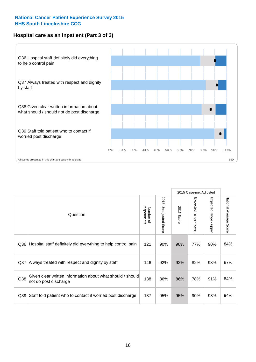## **Hospital care as an inpatient (Part 3 of 3)**



|                 |                                                                                     |                          |                                 |               | 2015 Case-mix Adjusted                  |                           |                        |
|-----------------|-------------------------------------------------------------------------------------|--------------------------|---------------------------------|---------------|-----------------------------------------|---------------------------|------------------------|
|                 | Question                                                                            | respondents<br>Number of | 2015<br><b>Unadjusted Score</b> | 2015<br>Score | Expected range<br>$\mathbf{r}$<br>lower | Expected range -<br>nbber | National Average Score |
| Q36             | Hospital staff definitely did everything to help control pain                       | 121                      | 90%                             | 90%           | 77%                                     | 90%                       | 84%                    |
| Q <sub>37</sub> | Always treated with respect and dignity by staff                                    | 146                      | 92%                             | 92%           | 82%                                     | 93%                       | 87%                    |
| Q38             | Given clear written information about what should / should<br>not do post discharge | 138                      | 86%                             | 86%           | 78%                                     | 91%                       | 84%                    |
| Q39             | Staff told patient who to contact if worried post discharge                         | 137                      | 95%                             | 95%           | 90%                                     | 98%                       | 94%                    |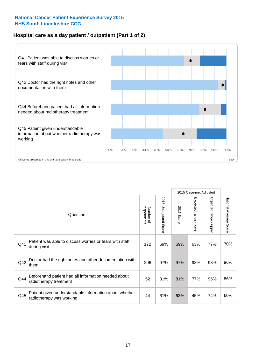## **Hospital care as a day patient / outpatient (Part 1 of 2)**



|     |                                                                                    |                          |                                 |                      | 2015 Case-mix Adjusted                    |                                         |                        |
|-----|------------------------------------------------------------------------------------|--------------------------|---------------------------------|----------------------|-------------------------------------------|-----------------------------------------|------------------------|
|     | Question                                                                           | respondents<br>Number of | 2015<br><b>Unadjusted Score</b> | 2015<br><b>Score</b> | Expected range<br>$\blacksquare$<br>lower | Expected range<br>$\mathbf{I}$<br>nbber | National Average Score |
| Q41 | Patient was able to discuss worries or fears with staff<br>during visit            | 172                      | 69%                             | 69%                  | 63%                                       | 77%                                     | 70%                    |
| Q42 | Doctor had the right notes and other documentation with<br>them                    | 206                      | 97%                             | 97%                  | 93%                                       | 98%                                     | 96%                    |
| Q44 | Beforehand patient had all information needed about<br>radiotherapy treatment      | 52                       | 81%                             | 81%                  | 77%                                       | 95%                                     | 86%                    |
| Q45 | Patient given understandable information about whether<br>radiotherapy was working | 44                       | 61%                             | 63%                  | 45%                                       | 74%                                     | 60%                    |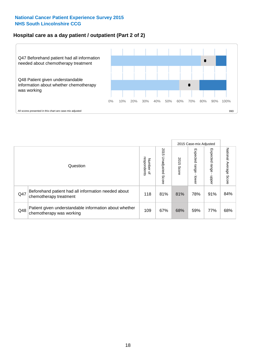## **Hospital care as a day patient / outpatient (Part 2 of 2)**



|     |                                                                                    |                          |                             |               |                         | 2015 Case-mix Adjusted  |                           |
|-----|------------------------------------------------------------------------------------|--------------------------|-----------------------------|---------------|-------------------------|-------------------------|---------------------------|
|     | Question                                                                           | Number of<br>respondents | 2015<br>Unadjusted<br>Score | 2015<br>Score | Expected range<br>lower | Expected range<br>doper | National Average<br>Score |
| Q47 | Beforehand patient had all information needed about<br>chemotherapy treatment      | 118                      | 81%                         | 81%           | 78%                     | 91%                     | 84%                       |
| Q48 | Patient given understandable information about whether<br>chemotherapy was working | 109                      | 67%                         | 68%           | 59%                     | 77%                     | 68%                       |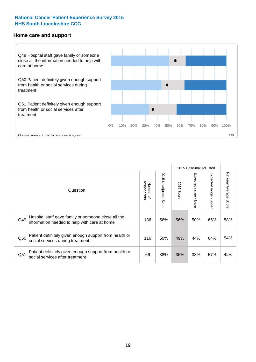#### **Home care and support**



2015 Case-mix Adjusted 2015 Unadjusted Score Expected range - upper National Average Score 2015 Unadjusted Score Expected range - lower National Average Score Expected range - lower Expected range - upper Number of<br>respondents respondents 2015 Score 2015 Score Number of Question Hospital staff gave family or someone close all the  $Q49$  information needed to help with care at home  $Q49$  186 | 56% | 56% | 50% | 65% | 58% Patient definitely given enough support from health or  $\frac{1050}{\text{social services during treatment}}$  116  $\begin{vmatrix} 50\% & 49\% & 44\% \end{vmatrix}$  64% 54% Patient definitely given enough support from health or  $\frac{36}{100}$  social services after treatment  $\frac{36}{100}$  and  $\frac{38}{100}$  38% 36% 36% 33% 57% 45%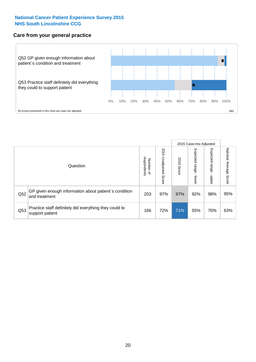## **Care from your general practice**



|     |                                                                           |                                       |                             |               | 2015 Case-mix Adjusted            |                            |                           |
|-----|---------------------------------------------------------------------------|---------------------------------------|-----------------------------|---------------|-----------------------------------|----------------------------|---------------------------|
|     | Question                                                                  | respondents<br>Number<br>$\mathbf{Q}$ | 2015<br>Unadjusted<br>Score | 2015<br>Score | Expected<br><b>Lange</b><br>lower | Expected<br>range<br>nbber | National Average<br>Score |
| Q52 | GP given enough information about patient's condition<br>and treatment    | 203                                   | 97%                         | 97%           | 92%                               | 98%                        | 95%                       |
| Q53 | Practice staff definitely did everything they could to<br>support patient | 166                                   | 72%                         | 71%           | 55%                               | 70%                        | 63%                       |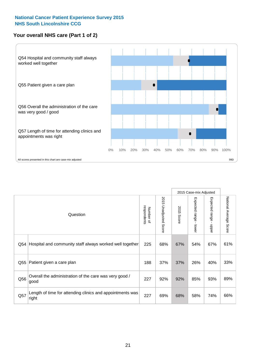## **Your overall NHS care (Part 1 of 2)**



|     |                                                                    |                          | 2015 Case-mix Adjusted          |               |                                           |                                           |                        |
|-----|--------------------------------------------------------------------|--------------------------|---------------------------------|---------------|-------------------------------------------|-------------------------------------------|------------------------|
|     | Question                                                           | respondents<br>Number of | 2015<br><b>Unadjusted Score</b> | 2015<br>Score | Expected range<br>$\blacksquare$<br>lower | Expected range<br>$\blacksquare$<br>nbber | National Average Score |
| Q54 | Hospital and community staff always worked well together           | 225                      | 68%                             | 67%           | 54%                                       | 67%                                       | 61%                    |
| Q55 | Patient given a care plan                                          | 188                      | 37%                             | 37%           | 26%                                       | 40%                                       | 33%                    |
| Q56 | Overall the administration of the care was very good /<br>good     | 227                      | 92%                             | 92%           | 85%                                       | 93%                                       | 89%                    |
| Q57 | Length of time for attending clinics and appointments was<br>right | 227                      | 69%                             | 68%           | 58%                                       | 74%                                       | 66%                    |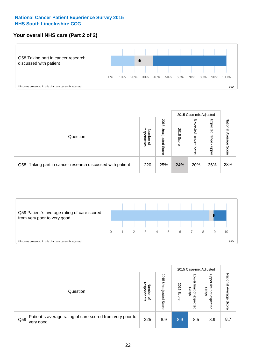## **Your overall NHS care (Part 2 of 2)**



|     |                                                       |                                              |                             |               |                            | 2015 Case-mix Adjusted     |                        |
|-----|-------------------------------------------------------|----------------------------------------------|-----------------------------|---------------|----------------------------|----------------------------|------------------------|
|     | Question                                              | respondents<br>Number<br>$\overline{\sigma}$ | 2015<br>Unadjusted<br>Score | 2015<br>Score | Expected<br>range<br>lower | Expected<br>range<br>doper | National Average Score |
| Q58 | Taking part in cancer research discussed with patient | 220                                          | 25%                         | 24%           | 20%                        | 36%                        | 28%                    |



|     |                                                                        |                                              |                             |               |                                           | 2015 Case-mix Adjusted                                          |                              |
|-----|------------------------------------------------------------------------|----------------------------------------------|-----------------------------|---------------|-------------------------------------------|-----------------------------------------------------------------|------------------------------|
|     | Question                                                               | respondents<br>Number<br>$\overline{\sigma}$ | 2015<br>Jnadjusted<br>Score | 2015<br>Score | OWer<br>limit<br>range<br>਼੍ਰ<br>expected | Upper<br>ilmit<br>range<br>$\overline{\mathcal{C}}$<br>expected | National<br>Average<br>Score |
| Q59 | Patient's average rating of care scored from very poor to<br>very good | 225                                          | 8.9                         | 8.9           | 8.5                                       | 8.9                                                             | 8.7                          |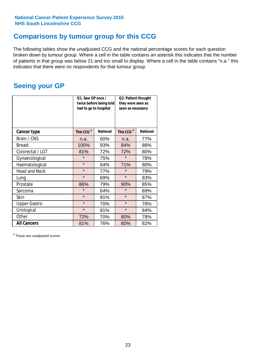## **Comparisons by tumour group for this CCG**

The following tables show the unadjusted CCG and the national percentage scores for each question broken down by tumour group. Where a cell in the table contains an asterisk this indicates that the number of patients in that group was below 21 and too small to display. Where a cell in the table contains "n.a." this indicates that there were no respondents for that tumour group.

## **Seeing your GP**

|                      | Q1. Saw GP once /<br>had to go to hospital | twice before being told | Q2. Patient thought<br>they were seen as<br>soon as necessary |                 |  |
|----------------------|--------------------------------------------|-------------------------|---------------------------------------------------------------|-----------------|--|
| <b>Cancer type</b>   | This CCG <sup>\$</sup>                     | <b>National</b>         | This CCG <sup>\$</sup>                                        | <b>National</b> |  |
| Brain / CNS          | n.a.                                       | 60%                     | n.a.                                                          | 77%             |  |
| <b>Breast</b>        | 100%                                       | 93%                     | 84%                                                           | 88%             |  |
| Colorectal / LGT     | 81%                                        | 72%                     | 72%                                                           | 80%             |  |
| Gynaecological       | $\star$                                    | 75%                     | $\star$                                                       | 78%             |  |
| Haematological       | $\star$                                    | 64%                     | 71%                                                           | 80%             |  |
| <b>Head and Neck</b> | $\star$                                    | 77%                     | $\star$                                                       | 79%             |  |
| Lung                 | $\star$                                    | 69%                     | $\star$                                                       | 83%             |  |
| Prostate             | 86%                                        | 79%                     | 90%                                                           | 85%             |  |
| Sarcoma              | $\star$                                    | 64%                     | $\star$                                                       | 69%             |  |
| Skin                 | $\star$                                    | 91%                     | $\star$                                                       | 87%             |  |
| <b>Upper Gastro</b>  | $\star$                                    | 70%                     | $\star$                                                       | 78%             |  |
| Urological           | $\star$                                    | 81%                     | $\star$                                                       | 84%             |  |
| Other                | 72%                                        | 70%                     | 80%                                                           | 78%             |  |
| <b>All Cancers</b>   | 81%                                        | 76%                     | 80%                                                           | 82%             |  |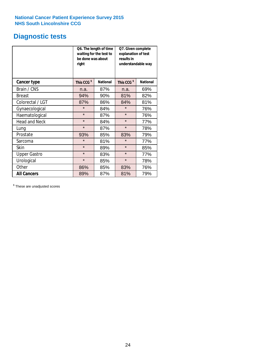## **Diagnostic tests**

|                      | be done was about<br>right | Q6. The length of time<br>waiting for the test to | Q7. Given complete<br>explanation of test<br>results in<br>understandable way |                 |  |
|----------------------|----------------------------|---------------------------------------------------|-------------------------------------------------------------------------------|-----------------|--|
| <b>Cancer type</b>   | This CCG <sup>\$</sup>     | <b>National</b>                                   | This CCG <sup>\$</sup>                                                        | <b>National</b> |  |
| Brain / CNS          | n.a.                       | 87%                                               | n.a.                                                                          | 69%             |  |
| <b>Breast</b>        | 94%                        | 90%                                               | 81%                                                                           | 82%             |  |
| Colorectal / LGT     | 87%                        | 86%                                               | 84%                                                                           | 81%             |  |
| Gynaecological       | $\star$                    | 84%                                               | $\star$                                                                       | 76%             |  |
| Haematological       | $\star$                    | 87%                                               | $\star$                                                                       | 76%             |  |
| <b>Head and Neck</b> | $\star$                    | 84%                                               | $\star$                                                                       | 77%             |  |
| Lung                 | $\star$                    | 87%                                               | $\star$                                                                       | 78%             |  |
| Prostate             | 93%                        | 85%                                               | 83%                                                                           | 79%             |  |
| Sarcoma              | $\star$                    | 81%                                               | $\star$                                                                       | 77%             |  |
| Skin                 | $\star$                    | 89%                                               | $\star$                                                                       | 85%             |  |
| <b>Upper Gastro</b>  | $\star$                    | 83%                                               | $\star$                                                                       | 77%             |  |
| Urological           | $\star$                    | 85%                                               | $\star$                                                                       | 78%             |  |
| Other                | 86%                        | 85%                                               | 83%                                                                           | 76%             |  |
| <b>All Cancers</b>   | 89%                        | 87%                                               | 81%                                                                           | 79%             |  |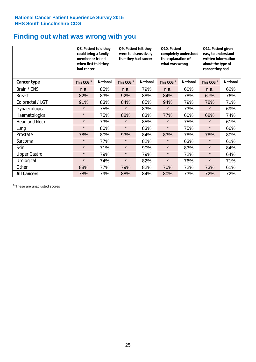## **Finding out what was wrong with you**

|                      | Q8. Patient told they<br>could bring a family<br>member or friend<br>when first told they<br>had cancer |                 | Q9. Patient felt they<br>were told sensitively<br>that they had cancer |                 | Q10. Patient<br>completely understood<br>the explanation of<br>what was wrong |                 | Q11. Patient given<br>easy to understand<br>written information<br>about the type of<br>cancer they had |                 |
|----------------------|---------------------------------------------------------------------------------------------------------|-----------------|------------------------------------------------------------------------|-----------------|-------------------------------------------------------------------------------|-----------------|---------------------------------------------------------------------------------------------------------|-----------------|
| Cancer type          | This CCG <sup>\$</sup>                                                                                  | <b>National</b> | This CCG <sup>\$</sup>                                                 | <b>National</b> | This CCG <sup>\$</sup>                                                        | <b>National</b> | This CCG <sup>\$</sup>                                                                                  | <b>National</b> |
| Brain / CNS          | n.a.                                                                                                    | 85%             | n.a.                                                                   | 79%             | n.a.                                                                          | 60%             | n.a.                                                                                                    | 62%             |
| <b>Breast</b>        | 82%                                                                                                     | 83%             | 92%                                                                    | 88%             | 84%                                                                           | 78%             | 67%                                                                                                     | 76%             |
| Colorectal / LGT     | 91%                                                                                                     | 83%             | 84%                                                                    | 85%             | 94%                                                                           | 79%             | 78%                                                                                                     | 71%             |
| Gynaecological       | $\star$                                                                                                 | 75%             | $\star$                                                                | 83%             | $\star$                                                                       | 73%             | $\star$                                                                                                 | 69%             |
| Haematological       | $\star$                                                                                                 | 75%             | 88%                                                                    | 83%             | 77%                                                                           | 60%             | 68%                                                                                                     | 74%             |
| <b>Head and Neck</b> | $\star$                                                                                                 | 73%             | $\star$                                                                | 85%             | $\star$                                                                       | 75%             | $\star$                                                                                                 | 61%             |
| Lung                 | $\star$                                                                                                 | 80%             | $\star$                                                                | 83%             | $\star$                                                                       | 75%             | $\star$                                                                                                 | 66%             |
| Prostate             | 78%                                                                                                     | 80%             | 93%                                                                    | 84%             | 83%                                                                           | 78%             | 78%                                                                                                     | 80%             |
| Sarcoma              | $\star$                                                                                                 | 77%             | $\star$                                                                | 82%             | $\star$                                                                       | 63%             | $\star$                                                                                                 | 61%             |
| Skin                 | $\star$                                                                                                 | 71%             | $\star$                                                                | 90%             | $\star$                                                                       | 83%             | $\star$                                                                                                 | 84%             |
| <b>Upper Gastro</b>  | $\star$                                                                                                 | 79%             | $\star$                                                                | 79%             | $\star$                                                                       | 72%             | $\star$                                                                                                 | 64%             |
| Urological           | $\star$                                                                                                 | 74%             | $\star$                                                                | 82%             | $\star$                                                                       | 76%             | $\star$                                                                                                 | 71%             |
| Other                | 88%                                                                                                     | 77%             | 79%                                                                    | 82%             | 70%                                                                           | 72%             | 73%                                                                                                     | 61%             |
| <b>All Cancers</b>   | 78%                                                                                                     | 79%             | 88%                                                                    | 84%             | 80%                                                                           | 73%             | 72%                                                                                                     | 72%             |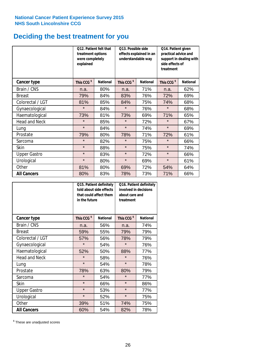## **Deciding the best treatment for you**

|                      | 012. Patient felt that<br>treatment options<br>were completely<br>explained |                 | O13. Possible side<br>understandable way  | effects explained in an | Q14. Patient given<br>practical advice and<br>support in dealing with<br>side effects of<br>treatment |                 |  |
|----------------------|-----------------------------------------------------------------------------|-----------------|-------------------------------------------|-------------------------|-------------------------------------------------------------------------------------------------------|-----------------|--|
| <b>Cancer type</b>   | This CCG <sup>\$</sup>                                                      | <b>National</b> | This CCG <sup>\$</sup><br><b>National</b> |                         | This CCG <sup>\$</sup>                                                                                | <b>National</b> |  |
| Brain / CNS          | n.a.                                                                        | 80%             | n.a.                                      | 71%                     | n.a.                                                                                                  | 62%             |  |
| <b>Breast</b>        | 79%                                                                         | 84%             | 83%                                       | 76%                     | 72%                                                                                                   | 69%             |  |
| Colorectal / LGT     | 81%                                                                         | 85%             | 84%                                       | 75%                     | 74%                                                                                                   | 68%             |  |
| Gynaecological       | $\star$                                                                     | 84%             | $\star$                                   | 76%                     | $\star$                                                                                               | 68%             |  |
| Haematological       | 73%                                                                         | 81%             | 73%                                       | 69%                     | 71%                                                                                                   | 65%             |  |
| <b>Head and Neck</b> | $\star$                                                                     | 85%             | $\star$                                   | 72%                     | $\star$                                                                                               | 67%             |  |
| Lung                 | $\star$                                                                     | 84%             | $\star$                                   | 74%                     | $\star$                                                                                               | 69%             |  |
| Prostate             | 79%                                                                         | 80%             | 78%                                       | 71%                     | 72%                                                                                                   | 61%             |  |
| Sarcoma              | $\star$                                                                     | 82%             | $\star$                                   | 75%                     | $\star$                                                                                               | 66%             |  |
| Skin                 | $\star$                                                                     | 88%             | $\star$                                   | 75%                     | $\star$                                                                                               | 74%             |  |
| <b>Upper Gastro</b>  | $\star$                                                                     | 83%             | $\star$                                   | 72%                     | $\star$                                                                                               | 66%             |  |
| Urological           | $\star$                                                                     | 80%             | $\star$                                   | 69%                     | $\star$                                                                                               | 61%             |  |
| Other                | 81%                                                                         | 80%             | 69%                                       | 72%                     | 54%                                                                                                   | 64%             |  |
| <b>All Cancers</b>   | 80%                                                                         | 83%             | 78%                                       | 73%                     | 71%                                                                                                   | 66%             |  |

|                      | in the future          | Q15. Patient definitely<br>told about side effects<br>that could affect them | Q16. Patient definitely<br>involved in decisions<br>about care and<br>treatment |                 |  |
|----------------------|------------------------|------------------------------------------------------------------------------|---------------------------------------------------------------------------------|-----------------|--|
| <b>Cancer type</b>   | This CCG <sup>\$</sup> | <b>National</b>                                                              | This CCG <sup>\$</sup>                                                          | <b>National</b> |  |
| Brain / CNS          | n.a.                   | 56%                                                                          | n.a.                                                                            | 74%             |  |
| <b>Breast</b>        | 59%                    | 55%                                                                          | 79%                                                                             | 79%             |  |
| Colorectal / LGT     | 57%                    | 56%                                                                          | 78%                                                                             | 79%             |  |
| Gynaecological       | $\star$<br>54%         |                                                                              | $\star$                                                                         | 76%             |  |
| Haematological       | 50%<br>52%             |                                                                              | 88%                                                                             | 77%             |  |
| <b>Head and Neck</b> | $\star$                | 58%                                                                          | $\star$                                                                         | 76%             |  |
| Lung                 | $\star$                | 54%                                                                          | $\star$                                                                         | 78%             |  |
| Prostate             | 78%                    | 63%                                                                          | 80%                                                                             | 79%             |  |
| Sarcoma              | $\star$                | 54%                                                                          | $\star$                                                                         | 77%             |  |
| Skin                 | $\star$                | 66%                                                                          | $\star$                                                                         | 86%             |  |
| <b>Upper Gastro</b>  | $\star$                | 53%                                                                          | $\star$                                                                         | 77%             |  |
| Urological           | $\star$                | 52%                                                                          | $\star$                                                                         | 75%             |  |
| Other                | 39%                    | 51%                                                                          | 74%                                                                             | 75%             |  |
| <b>All Cancers</b>   | 60%                    | 54%                                                                          | 82%                                                                             | 78%             |  |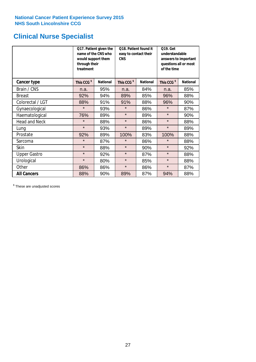## **Clinical Nurse Specialist**

|                      | would support them<br>through their<br>treatment | Q17. Patient given the<br>name of the CNS who | Q18. Patient found it<br>easy to contact their<br><b>CNS</b> |                 | <b>Q19. Get</b><br>understandable<br>answers to important<br>questions all or most<br>of the time |                 |  |
|----------------------|--------------------------------------------------|-----------------------------------------------|--------------------------------------------------------------|-----------------|---------------------------------------------------------------------------------------------------|-----------------|--|
| <b>Cancer type</b>   | This CCG <sup>\$</sup>                           | <b>National</b>                               | This CCG <sup>\$</sup>                                       | <b>National</b> | This CCG <sup>\$</sup>                                                                            | <b>National</b> |  |
| Brain / CNS          | n.a.                                             | 95%                                           | n.a.                                                         | 84%             | n.a.                                                                                              | 85%             |  |
| <b>Breast</b>        | 92%                                              | 94%                                           | 89%                                                          | 85%             | 96%                                                                                               | 88%             |  |
| Colorectal / LGT     | 88%                                              | 91%                                           | 91%                                                          | 88%             | 96%                                                                                               | 90%             |  |
| Gynaecological       | $\star$                                          | 93%                                           | $\star$                                                      | 86%             | $\star$                                                                                           | 87%             |  |
| Haematological       | 76%                                              | 89%                                           | $\star$                                                      | 89%             | $\star$                                                                                           | 90%             |  |
| <b>Head and Neck</b> | $\star$                                          | 88%                                           | $\star$                                                      | 86%             | $\star$                                                                                           | 88%             |  |
| Lung                 | $\star$                                          | 93%                                           | $\star$                                                      | 89%             | $\star$                                                                                           | 89%             |  |
| Prostate             | 92%                                              | 89%                                           | 100%                                                         | 83%             | 100%                                                                                              | 88%             |  |
| Sarcoma              | $\star$                                          | 87%                                           | $\star$                                                      | 86%             | $\star$                                                                                           | 88%             |  |
| Skin                 | $\star$                                          | 88%                                           | $\star$                                                      | 90%             | $\star$                                                                                           | 92%             |  |
| <b>Upper Gastro</b>  | $\star$                                          | 92%                                           | $\star$                                                      | 87%             | $\star$                                                                                           | 88%             |  |
| Urological           | $\star$                                          | 80%                                           | $\star$                                                      | 85%             | $\star$                                                                                           | 88%             |  |
| Other                | 86%                                              | 86%                                           | $\star$                                                      | 86%             | $\star$                                                                                           | 87%             |  |
| <b>All Cancers</b>   | 88%                                              | 90%                                           | 89%                                                          | 87%             | 94%                                                                                               | 88%             |  |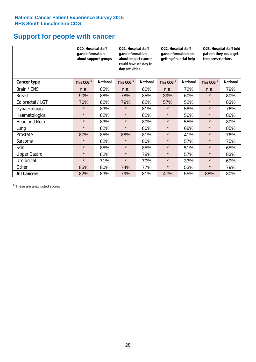## **Support for people with cancer**

|                      | Q20. Hospital staff<br>gave information | about support groups | Q21. Hospital staff<br>gave information<br>about impact cancer<br>could have on day to<br>day activities |                 | Q22. Hospital staff<br>gave information on<br>getting financial help |                 | Q23. Hospital staff told<br>patient they could get<br>free prescriptions |                 |
|----------------------|-----------------------------------------|----------------------|----------------------------------------------------------------------------------------------------------|-----------------|----------------------------------------------------------------------|-----------------|--------------------------------------------------------------------------|-----------------|
| <b>Cancer type</b>   | This CCG <sup>\$</sup>                  | <b>National</b>      | This CCG <sup>\$</sup>                                                                                   | <b>National</b> | This CCG <sup>\$</sup>                                               | <b>National</b> | This CCG <sup>\$</sup>                                                   | <b>National</b> |
| Brain / CNS          | n.a.                                    | 85%                  | n.a.                                                                                                     | 80%             | n.a.                                                                 | 72%             | n.a.                                                                     | 79%             |
| <b>Breast</b>        | 90%                                     | 88%                  | 78%                                                                                                      | 85%             | 39%                                                                  | 60%             | $\star$                                                                  | 80%             |
| Colorectal / LGT     | 76%                                     | 82%                  | 79%                                                                                                      | 82%             | 57%                                                                  | 52%             | $\star$                                                                  | 83%             |
| Gynaecological       | $\star$                                 | 83%                  | $\star$                                                                                                  | 81%             | $\star$                                                              | 58%             | $\star$                                                                  | 76%             |
| Haematological       | $\star$                                 | 82%                  | $\star$                                                                                                  | 82%             | $\star$                                                              | 56%             | $\star$                                                                  | 86%             |
| <b>Head and Neck</b> | $\star$                                 | 83%                  | $\star$                                                                                                  | 80%             | $\star$                                                              | 55%             | $\star$                                                                  | 80%             |
| Lung                 | $\star$                                 | 82%                  | $\star$                                                                                                  | 80%             | $\star$                                                              | 68%             | $\star$                                                                  | 85%             |
| Prostate             | 87%                                     | 85%                  | 88%                                                                                                      | 81%             | $\star$                                                              | 41%             | $\star$                                                                  | 76%             |
| Sarcoma              | $\star$                                 | 82%                  | $\star$                                                                                                  | 80%             | $\star$                                                              | 57%             | $\star$                                                                  | 75%             |
| Skin                 | $\star$                                 | 85%                  | $\star$                                                                                                  | 85%             | $\star$                                                              | 51%             | $\star$                                                                  | 65%             |
| <b>Upper Gastro</b>  | $\star$                                 | 82%                  | $\star$                                                                                                  | 78%             | $\star$                                                              | 57%             | $\star$                                                                  | 83%             |
| Urological           | $\star$                                 | 71%                  | $\star$                                                                                                  | 70%             | $\star$                                                              | 33%             | $\star$                                                                  | 69%             |
| Other                | 85%                                     | 80%                  | 74%                                                                                                      | 77%             | $\star$                                                              | 53%             | $\star$                                                                  | 79%             |
| <b>All Cancers</b>   | 82%                                     | 83%                  | 79%                                                                                                      | 81%             | 47%                                                                  | 55%             | 88%                                                                      | 80%             |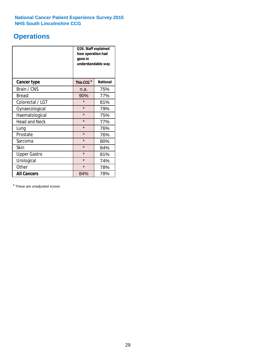## **Operations**

|                      | Q26. Staff explained<br>how operation had<br>gone in<br>understandable way |                 |  |  |  |
|----------------------|----------------------------------------------------------------------------|-----------------|--|--|--|
| <b>Cancer type</b>   | This CCG <sup>\$</sup>                                                     | <b>National</b> |  |  |  |
| Brain / CNS          | n.a.                                                                       | 75%             |  |  |  |
| <b>Breast</b>        | 90%                                                                        | 77%             |  |  |  |
| Colorectal / LGT     | $\star$                                                                    | 81%             |  |  |  |
| Gynaecological       | $\star$                                                                    | 79%             |  |  |  |
| Haematological       | $\star$                                                                    | 75%             |  |  |  |
| <b>Head and Neck</b> | $\star$                                                                    | 77%             |  |  |  |
| Lung                 | $\star$                                                                    | 76%             |  |  |  |
| Prostate             | $\star$                                                                    | 76%             |  |  |  |
| Sarcoma              | $\star$                                                                    | 80%             |  |  |  |
| Skin                 | $\star$                                                                    | 84%             |  |  |  |
| <b>Upper Gastro</b>  | $\star$                                                                    | 81%             |  |  |  |
| Urological           | $\star$                                                                    | 74%             |  |  |  |
| Other                | $\star$<br>78%                                                             |                 |  |  |  |
| <b>All Cancers</b>   | 84%                                                                        | 78%             |  |  |  |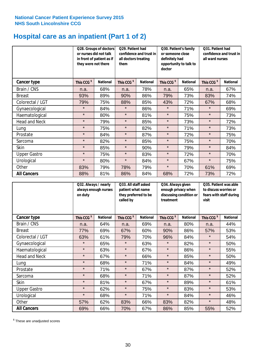## **Hospital care as an inpatient (Part 1 of 2)**

|                      | or nurses did not talk<br>they were not there | Q28. Groups of doctors<br>in front of patient as if | Q29. Patient had<br>confidence and trust in<br>all doctors treating<br>them |                 | Q30. Patient's family<br>or someone close<br>definitely had<br>opportunity to talk to<br>doctor |                 | Q31. Patient had<br>confidence and trust in I<br>all ward nurses |                 |
|----------------------|-----------------------------------------------|-----------------------------------------------------|-----------------------------------------------------------------------------|-----------------|-------------------------------------------------------------------------------------------------|-----------------|------------------------------------------------------------------|-----------------|
| Cancer type          | This CCG <sup>\$</sup>                        | <b>National</b>                                     | This CCG <sup>\$</sup>                                                      | <b>National</b> | This CCG <sup>\$</sup>                                                                          | <b>National</b> | This CCG <sup>\$</sup>                                           | <b>National</b> |
| Brain / CNS          | n.a.                                          | 68%                                                 | n.a.                                                                        | 78%             | n.a.                                                                                            | 65%             | n.a.                                                             | 67%             |
| <b>Breast</b>        | 93%                                           | 89%                                                 | 90%                                                                         | 86%             | 79%                                                                                             | 73%             | 83%                                                              | 74%             |
| Colorectal / LGT     | 79%                                           | 75%                                                 | 88%                                                                         | 85%             | 43%                                                                                             | 72%             | 67%                                                              | 68%             |
| Gynaecological       | $\star$                                       | 84%                                                 | $\star$                                                                     | 86%             | $\star$                                                                                         | 71%             | $\star$                                                          | 69%             |
| Haematological       | $\star$                                       | 80%                                                 | $\star$                                                                     | 81%             | $\star$                                                                                         | 75%             | $\star$                                                          | 73%             |
| <b>Head and Neck</b> | $\star$                                       | 79%                                                 | $\star$                                                                     | 85%             | $\star$                                                                                         | 73%             | $\star$                                                          | 72%             |
| Lung                 | $\star$                                       | 75%                                                 | $\star$                                                                     | 82%             | $\star$                                                                                         | 71%             | $\star$                                                          | 73%             |
| Prostate             | $\star$                                       | 84%                                                 | $\star$                                                                     | 87%             | $\star$                                                                                         | 72%             | $\star$                                                          | 75%             |
| Sarcoma              | $\star$                                       | 82%                                                 | $\star$                                                                     | 85%             | $\star$                                                                                         | 75%             | $\star$                                                          | 70%             |
| Skin                 | $\star$                                       | 85%                                                 | $\star$                                                                     | 90%             | $\star$                                                                                         | 79%             | $\star$                                                          | 84%             |
| <b>Upper Gastro</b>  | $\star$                                       | 75%                                                 | $\star$                                                                     | 83%             | $\star$                                                                                         | 72%             | $\star$                                                          | 70%             |
| Urological           | $\star$                                       | 80%                                                 | $\star$                                                                     | 84%             | $\star$                                                                                         | 67%             | $\star$                                                          | 75%             |
| Other                | 83%                                           | 79%                                                 | 78%                                                                         | 79%             | $\star$                                                                                         | 70%             | 61%                                                              | 69%             |
| <b>All Cancers</b>   | 88%                                           | 81%                                                 | 86%                                                                         | 84%             | 68%                                                                                             | 72%             | 73%                                                              | 72%             |

|                      | on duty                | Q32. Always / nearly<br>always enough nurses |                        | Q33. All staff asked<br>patient what name<br>they preferred to be<br>called by |                        | Q34. Always given<br>enough privacy when<br>discussing condition or<br>treatment |                        | Q35. Patient was able<br>to discuss worries or<br>fears with staff during<br>visit |  |
|----------------------|------------------------|----------------------------------------------|------------------------|--------------------------------------------------------------------------------|------------------------|----------------------------------------------------------------------------------|------------------------|------------------------------------------------------------------------------------|--|
| <b>Cancer type</b>   | This CCG <sup>\$</sup> | <b>National</b>                              | This CCG <sup>\$</sup> | <b>National</b>                                                                | This CCG <sup>\$</sup> | <b>National</b>                                                                  | This CCG <sup>\$</sup> | <b>National</b>                                                                    |  |
| Brain / CNS          | n.a.                   | 64%                                          | n.a.                   | 69%                                                                            | n.a.                   | 80%                                                                              | n.a.                   | 44%                                                                                |  |
| <b>Breast</b>        | 77%                    | 69%                                          | 67%                    | 60%                                                                            | 90%                    | 86%                                                                              | 57%                    | 53%                                                                                |  |
| Colorectal / LGT     | 63%                    | 61%                                          | 79%                    | 70%                                                                            | 96%                    | 84%                                                                              | $\star$                | 54%                                                                                |  |
| Gynaecological       | $\star$                | 65%                                          | $\star$                | 63%                                                                            | $\star$                | 82%                                                                              | $\star$                | 50%                                                                                |  |
| Haematological       | $\star$                | 63%                                          | $\star$                | 67%                                                                            | $\star$                | 86%                                                                              | $\star$                | 55%                                                                                |  |
| <b>Head and Neck</b> | $\star$                | 67%                                          | $\star$                | 66%                                                                            | $\star$                | 85%                                                                              | $\star$                | 50%                                                                                |  |
| Lung                 | $\star$                | 68%                                          | $\star$                | 71%                                                                            | $\star$                | 84%                                                                              | $\star$                | 49%                                                                                |  |
| Prostate             | $\star$                | 71%                                          | $\star$                | 67%                                                                            | $\star$                | 87%                                                                              | $\star$                | 52%                                                                                |  |
| Sarcoma              | $\star$                | 68%                                          | $\star$                | 71%                                                                            | $\star$                | 87%                                                                              | $\star$                | 52%                                                                                |  |
| Skin                 | $\star$                | 81%                                          | $\star$                | 67%                                                                            | $\star$                | 89%                                                                              | $\star$                | 61%                                                                                |  |
| <b>Upper Gastro</b>  | $\star$                | 62%                                          | $\star$                | 75%                                                                            | $\star$                | 83%                                                                              | $\star$                | 53%                                                                                |  |
| Urological           | $\star$                | 68%                                          | $\star$                | 71%                                                                            | $\star$                | 84%                                                                              | $\star$                | 46%                                                                                |  |
| Other                | 57%                    | 62%                                          | 83%                    | 66%                                                                            | 83%                    | 82%                                                                              | $\star$                | 48%                                                                                |  |
| <b>All Cancers</b>   | 69%                    | 66%                                          | 70%                    | 67%                                                                            | 86%                    | 85%                                                                              | 55%                    | 52%                                                                                |  |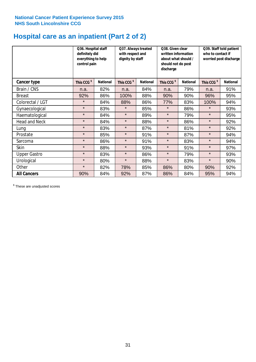## **Hospital care as an inpatient (Part 2 of 2)**

|                      | Q36. Hospital staff<br>definitely did<br>everything to help<br>control pain |                 | Q37. Always treated<br>with respect and<br>dignity by staff |                 | Q38. Given clear<br>written information<br>about what should /<br>should not do post<br>discharge |                 | Q39. Staff told patient<br>who to contact if<br>worried post discharge |                 |
|----------------------|-----------------------------------------------------------------------------|-----------------|-------------------------------------------------------------|-----------------|---------------------------------------------------------------------------------------------------|-----------------|------------------------------------------------------------------------|-----------------|
| Cancer type          | This CCG <sup>\$</sup>                                                      | <b>National</b> | This CCG <sup>\$</sup>                                      | <b>National</b> | This CCG <sup>\$</sup>                                                                            | <b>National</b> | This CCG <sup>\$</sup>                                                 | <b>National</b> |
| Brain / CNS          | n.a.                                                                        | 82%             | n.a.                                                        | 84%             | n.a.                                                                                              | 79%             | n.a.                                                                   | 91%             |
| <b>Breast</b>        | 92%                                                                         | 86%             | 100%                                                        | 88%             | 90%                                                                                               | 90%             | 96%                                                                    | 95%             |
| Colorectal / LGT     | $\star$                                                                     | 84%             | 88%                                                         | 86%             | 77%                                                                                               | 83%             | 100%                                                                   | 94%             |
| Gynaecological       | $\star$                                                                     | 83%             | $\star$                                                     | 85%             | $\star$                                                                                           | 86%             | $\star$                                                                | 93%             |
| Haematological       | $\star$                                                                     | 84%             | $\star$                                                     | 89%             | $\star$                                                                                           | 79%             | $\star$                                                                | 95%             |
| <b>Head and Neck</b> | $\star$                                                                     | 84%             | $\star$                                                     | 88%             | $\star$                                                                                           | 86%             | $\star$                                                                | 92%             |
| Lung                 | $\star$                                                                     | 83%             | $\star$                                                     | 87%             | $\star$                                                                                           | 81%             | $\star$                                                                | 92%             |
| Prostate             | $\star$                                                                     | 85%             | $\star$                                                     | 91%             | $\star$                                                                                           | 87%             | $\star$                                                                | 94%             |
| Sarcoma              | $\star$                                                                     | 86%             | $\star$                                                     | 91%             | $\star$                                                                                           | 83%             | $\star$                                                                | 94%             |
| Skin                 | $\star$                                                                     | 88%             | $\star$                                                     | 93%             | $\star$                                                                                           | 91%             | $\star$                                                                | 97%             |
| <b>Upper Gastro</b>  | $\star$                                                                     | 83%             | $\star$                                                     | 86%             | $\star$                                                                                           | 79%             | $\star$                                                                | 93%             |
| Urological           | $\star$                                                                     | 80%             | $\star$                                                     | 88%             | $\star$                                                                                           | 83%             | $\star$                                                                | 90%             |
| Other                | $\star$                                                                     | 82%             | 78%                                                         | 85%             | 86%                                                                                               | 80%             | 90%                                                                    | 92%             |
| <b>All Cancers</b>   | 90%                                                                         | 84%             | 92%                                                         | 87%             | 86%                                                                                               | 84%             | 95%                                                                    | 94%             |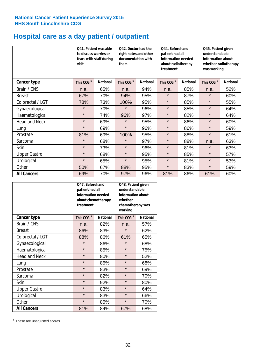## **Hospital care as a day patient / outpatient**

|                      | to discuss worries or<br>visit | Q41. Patient was able<br>fears with staff during | Q42. Doctor had the<br>right notes and other<br>documentation with<br>them |                 | Q44. Beforehand<br>patient had all<br>information needed<br>about radiotherapy<br>treatment |                 | Q45. Patient given<br>understandable<br>information about<br>whether radiotherapy<br>was working |                 |
|----------------------|--------------------------------|--------------------------------------------------|----------------------------------------------------------------------------|-----------------|---------------------------------------------------------------------------------------------|-----------------|--------------------------------------------------------------------------------------------------|-----------------|
| <b>Cancer type</b>   | This CCG <sup>\$</sup>         | <b>National</b>                                  | This CCG <sup>\$</sup>                                                     | <b>National</b> | This CCG <sup>\$</sup>                                                                      | <b>National</b> | This CCG <sup>\$</sup>                                                                           | <b>National</b> |
| Brain / CNS          | n.a.                           | 65%                                              | n.a.                                                                       | 94%             | n.a.                                                                                        | 85%             | n.a.                                                                                             | 52%             |
| <b>Breast</b>        | 67%                            | 70%                                              | 94%                                                                        | 95%             | $\star$                                                                                     | 87%             | $\star$                                                                                          | 60%             |
| Colorectal / LGT     | 78%                            | 73%                                              | 100%                                                                       | 95%             | $\star$                                                                                     | 85%             | $\star$                                                                                          | 55%             |
| Gynaecological       | $\star$                        | 70%                                              | $\star$                                                                    | 96%             | $\star$                                                                                     | 85%             | $\star$                                                                                          | 64%             |
| Haematological       | $\star$                        | 74%                                              | 96%                                                                        | 97%             | $\star$                                                                                     | 82%             | $\star$                                                                                          | 64%             |
| <b>Head and Neck</b> | $\star$                        | 69%                                              | $\star$                                                                    | 95%             | $\star$                                                                                     | 86%             | $\star$                                                                                          | 60%             |
| Lung                 | $\star$                        | 69%                                              | $\star$                                                                    | 96%             | $\star$                                                                                     | 86%             | $\star$                                                                                          | 59%             |
| Prostate             | 81%                            | 69%                                              | 100%                                                                       | 95%             | $\star$                                                                                     | 88%             | $\star$                                                                                          | 61%             |
| Sarcoma              | $\star$                        | 68%                                              | $\star$                                                                    | 97%             | $\star$                                                                                     | 88%             | n.a.                                                                                             | 63%             |
| Skin                 | $\star$                        | 73%                                              | $\star$                                                                    | 96%             | $\star$                                                                                     | 81%             | $\star$                                                                                          | 63%             |
| <b>Upper Gastro</b>  | $\star$                        | 68%                                              | $\star$                                                                    | 95%             | $\star$                                                                                     | 85%             | $\star$                                                                                          | 57%             |
| Urological           | $\star$                        | 65%                                              | $\star$                                                                    | 95%             | $\star$                                                                                     | 81%             | $\star$                                                                                          | 53%             |
| Other                | 50%                            | 67%                                              | 88%                                                                        | 95%             | $\star$                                                                                     | 83%             | $\star$                                                                                          | 59%             |
| <b>All Cancers</b>   | 69%                            | 70%                                              | 97%                                                                        | 96%             | 81%                                                                                         | 86%             | 61%                                                                                              | 60%             |

|                      | O47. Beforehand<br>patient had all<br>information needed<br>treatment | about chemotherapy | Q48. Patient given<br>understandable<br>information about<br>whether<br>chemotherapy was<br>working |                 |  |
|----------------------|-----------------------------------------------------------------------|--------------------|-----------------------------------------------------------------------------------------------------|-----------------|--|
| <b>Cancer type</b>   | This CCG <sup>\$</sup>                                                | <b>National</b>    | This CCG <sup>\$</sup>                                                                              | <b>National</b> |  |
| Brain / CNS          | n.a.                                                                  | 82%                | n.a.                                                                                                | 57%             |  |
| <b>Breast</b>        | 86%                                                                   | 83%                | $\star$                                                                                             | 62%             |  |
| Colorectal / LGT     | 88%                                                                   | 86%                | 61%                                                                                                 | 65%             |  |
| Gynaecological       | $\star$                                                               | 86%                | $\star$                                                                                             | 68%             |  |
| Haematological       | $\star$<br>85%                                                        |                    | $\star$                                                                                             | 75%             |  |
| <b>Head and Neck</b> | $\star$                                                               | 80%                | $\star$                                                                                             | 52%             |  |
| Lung                 | $\star$                                                               | 85%                | $\star$                                                                                             | 68%             |  |
| Prostate             | $\star$                                                               | 83%                | $\star$                                                                                             | 69%             |  |
| Sarcoma              | $\star$                                                               | 82%                | $\star$                                                                                             | 70%             |  |
| Skin                 | $\star$                                                               | 92%                | $\star$                                                                                             | 80%             |  |
| <b>Upper Gastro</b>  | $\star$                                                               | 83%                | $\star$                                                                                             | 64%             |  |
| Urological           | $\star$                                                               | 83%                | $\star$                                                                                             | 66%             |  |
| Other                | $\star$                                                               | 85%                | $\star$                                                                                             | 70%             |  |
| <b>All Cancers</b>   | 81%                                                                   | 84%                | 67%                                                                                                 | 68%             |  |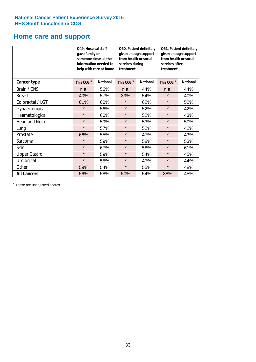## **Home care and support**

|                      | Q49. Hospital staff<br>gave family or | someone close all the<br>information needed to<br>help with care at home | Q50. Patient definitely<br>given enough support<br>from health or social<br>services during<br>treatment<br><b>National</b> |     | Q51. Patient definitely<br>given enough support<br>from health or social<br>services after<br>treatment |                 |
|----------------------|---------------------------------------|--------------------------------------------------------------------------|-----------------------------------------------------------------------------------------------------------------------------|-----|---------------------------------------------------------------------------------------------------------|-----------------|
| <b>Cancer type</b>   | This CCG <sup>\$</sup>                | <b>National</b>                                                          | This CCG <sup>\$</sup>                                                                                                      |     | This CCG <sup>\$</sup>                                                                                  | <b>National</b> |
| Brain / CNS          | n.a.                                  | 56%                                                                      | n.a.                                                                                                                        | 44% | n.a.                                                                                                    | 44%             |
| <b>Breast</b>        | 40%                                   | 57%                                                                      | 39%                                                                                                                         | 54% | $\star$                                                                                                 | 40%             |
| Colorectal / LGT     | 61%                                   | 60%                                                                      | $\star$                                                                                                                     | 62% | $\star$                                                                                                 | 52%             |
| Gynaecological       | $\star$                               | 56%                                                                      | $\star$                                                                                                                     | 52% | $\star$                                                                                                 | 42%             |
| Haematological       | $\star$                               | 60%                                                                      | $\star$                                                                                                                     | 52% | $\star$                                                                                                 | 43%             |
| <b>Head and Neck</b> | $\star$                               | 59%                                                                      | $\star$                                                                                                                     | 53% | $\star$                                                                                                 | 50%             |
| Lung                 | $\star$                               | 57%                                                                      | $\star$                                                                                                                     | 52% | $\star$                                                                                                 | 42%             |
| Prostate             | 66%                                   | 55%                                                                      | $\star$                                                                                                                     | 47% | $\star$                                                                                                 | 43%             |
| Sarcoma              | $\star$                               | 59%                                                                      | $\star$                                                                                                                     | 58% | $\star$                                                                                                 | 53%             |
| Skin                 | $\star$                               | 67%                                                                      | $\star$                                                                                                                     | 58% | $\star$                                                                                                 | 61%             |
| <b>Upper Gastro</b>  | $\star$                               | 59%                                                                      | $\star$                                                                                                                     | 54% | $\star$                                                                                                 | 45%             |
| Urological           | $\star$                               | 55%                                                                      | $\star$                                                                                                                     | 47% | $\star$                                                                                                 | 44%             |
| Other                | 59%                                   | 54%                                                                      | $\star$                                                                                                                     | 55% | $\star$                                                                                                 | 48%             |
| <b>All Cancers</b>   | 56%                                   | 58%                                                                      | 50%                                                                                                                         | 54% | 38%                                                                                                     | 45%             |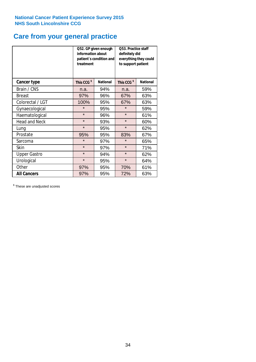## **Care from your general practice**

|                      | information about<br>treatment | Q52. GP given enough<br>patient's condition and | Q53. Practice staff<br>definitely did<br>everything they could<br>to support patient |                 |  |
|----------------------|--------------------------------|-------------------------------------------------|--------------------------------------------------------------------------------------|-----------------|--|
| <b>Cancer type</b>   | This CCG <sup>\$</sup>         | <b>National</b>                                 | This CCG <sup>\$</sup>                                                               | <b>National</b> |  |
| Brain / CNS          | n.a.                           | 94%                                             | n.a.                                                                                 | 59%             |  |
| <b>Breast</b>        | 97%                            | 96%                                             | 67%                                                                                  | 63%             |  |
| Colorectal / LGT     | 100%                           | 95%                                             | 67%                                                                                  | 63%             |  |
| Gynaecological       | $\star$                        | 95%                                             | $\star$                                                                              | 59%             |  |
| Haematological       | $\star$                        | 96%                                             | $\star$                                                                              | 61%             |  |
| <b>Head and Neck</b> | $\star$                        | 93%                                             | $\star$                                                                              | 60%             |  |
| Lung                 | $\star$                        | 95%                                             | $\star$                                                                              | 62%             |  |
| Prostate             | 95%                            | 95%                                             | 83%                                                                                  | 67%             |  |
| Sarcoma              | $\star$                        | 97%                                             | $\star$                                                                              | 65%             |  |
| Skin                 | $\star$                        | 97%                                             | $\star$                                                                              | 71%             |  |
| <b>Upper Gastro</b>  | $\star$                        | 94%                                             | $\star$                                                                              | 62%             |  |
| Urological           | $\star$                        | 95%                                             | $\star$                                                                              | 64%             |  |
| Other                | 97%                            | 95%                                             | 70%                                                                                  | 61%             |  |
| <b>All Cancers</b>   | 97%                            | 95%                                             | 72%                                                                                  | 63%             |  |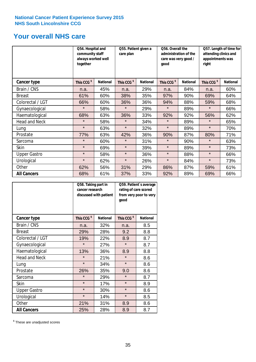## **Your overall NHS care**

|                      | Q54. Hospital and<br>community staff<br>always worked well<br>together |                 | Q55. Patient given a<br>care plan |                 | Q56. Overall the<br>administration of the<br>care was very good /<br>qood |                 | Q57. Length of time for<br>attending clinics and<br>appointments was<br>right |                 |
|----------------------|------------------------------------------------------------------------|-----------------|-----------------------------------|-----------------|---------------------------------------------------------------------------|-----------------|-------------------------------------------------------------------------------|-----------------|
| <b>Cancer type</b>   | This CCG <sup>\$</sup>                                                 | <b>National</b> | This CCG <sup>\$</sup>            | <b>National</b> | This CCG <sup>\$</sup>                                                    | <b>National</b> | This CCG <sup>\$</sup>                                                        | <b>National</b> |
| Brain / CNS          | n.a.                                                                   | 45%             | n.a.                              | 29%             | n.a.                                                                      | 84%             | n.a.                                                                          | 60%             |
| <b>Breast</b>        | 61%                                                                    | 60%             | 38%                               | 35%             | 97%                                                                       | 90%             | 69%                                                                           | 64%             |
| Colorectal / LGT     | 66%                                                                    | 60%             | 36%                               | 36%             | 94%                                                                       | 88%             | 59%                                                                           | 68%             |
| Gynaecological       | $\star$                                                                | 58%             | $\star$                           | 29%             | $\star$                                                                   | 89%             | $\star$                                                                       | 66%             |
| Haematological       | 68%                                                                    | 63%             | 36%                               | 33%             | 92%                                                                       | 92%             | 56%                                                                           | 62%             |
| <b>Head and Neck</b> | $\star$                                                                | 58%             | $\star$                           | 34%             | $\star$                                                                   | 89%             | $\star$                                                                       | 65%             |
| Lung                 | $\star$                                                                | 63%             | $\star$                           | 32%             | $\star$                                                                   | 89%             | $\star$                                                                       | 70%             |
| Prostate             | 77%                                                                    | 63%             | 42%                               | 36%             | 90%                                                                       | 87%             | 80%                                                                           | 71%             |
| Sarcoma              | $\star$                                                                | 60%             | $\star$                           | 31%             | $\star$                                                                   | 90%             | $\star$                                                                       | 63%             |
| Skin                 | $\star$                                                                | 69%             | $\star$                           | 39%             | $\star$                                                                   | 89%             | $\star$                                                                       | 73%             |
| <b>Upper Gastro</b>  | $\star$                                                                | 58%             | $\star$                           | 36%             | $\star$                                                                   | 88%             | $\star$                                                                       | 66%             |
| Urological           | $\star$                                                                | 62%             | $\star$                           | 26%             | $\star$                                                                   | 84%             | $\star$                                                                       | 73%             |
| Other                | 62%                                                                    | 56%             | 31%                               | 29%             | 86%                                                                       | 87%             | 59%                                                                           | 61%             |
| <b>All Cancers</b>   | 68%                                                                    | 61%             | 37%                               | 33%             | 92%                                                                       | 89%             | 69%                                                                           | 66%             |

|                      | Q58. Taking part in<br>cancer research | discussed with patient | Q59. Patient's average<br>rating of care scored<br>from very poor to very<br>good |                 |  |
|----------------------|----------------------------------------|------------------------|-----------------------------------------------------------------------------------|-----------------|--|
| <b>Cancer type</b>   | This CCG <sup>\$</sup>                 | <b>National</b>        | This CCG <sup>\$</sup>                                                            | <b>National</b> |  |
| Brain / CNS          | n.a.                                   | 32%                    | n.a.                                                                              | 8.5             |  |
| <b>Breast</b>        | 29%                                    | 28%                    | 9.2                                                                               | 8.8             |  |
| Colorectal / LGT     | 19%                                    | 22%                    | 8.9                                                                               | 8.7             |  |
| Gynaecological       | $\star$                                | 27%                    | $\star$                                                                           | 8.7             |  |
| Haematological       | 13%                                    | 36%                    | 8.9                                                                               | 8.8             |  |
| <b>Head and Neck</b> | $\star$                                | 21%                    | $\star$                                                                           | 8.6             |  |
| Lung                 | $\star$                                | 34%                    | $\star$                                                                           | 8.6             |  |
| Prostate             | 26%                                    | 35%                    | 9.0                                                                               | 8.6             |  |
| Sarcoma              | $\star$                                | 29%                    | $\star$                                                                           | 8.7             |  |
| Skin                 | $\star$                                | 17%                    | $\star$                                                                           | 8.9             |  |
| <b>Upper Gastro</b>  | $\star$                                | 30%                    | $\star$                                                                           | 8.6             |  |
| Urological           | $\star$                                | 14%                    | $\star$                                                                           | 8.5             |  |
| Other                | 21%                                    | 31%                    | 8.9                                                                               | 8.6             |  |
| <b>All Cancers</b>   | 25%                                    | 28%                    | 8.9                                                                               | 8.7             |  |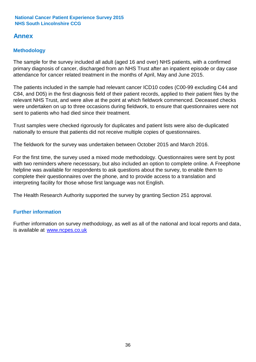## **Annex**

## **Methodology**

The sample for the survey included all adult (aged 16 and over) NHS patients, with a confirmed primary diagnosis of cancer, discharged from an NHS Trust after an inpatient episode or day case attendance for cancer related treatment in the months of April, May and June 2015.

The patients included in the sample had relevant cancer ICD10 codes (C00-99 excluding C44 and C84, and D05) in the first diagnosis field of their patient records, applied to their patient files by the relevant NHS Trust, and were alive at the point at which fieldwork commenced. Deceased checks were undertaken on up to three occasions during fieldwork, to ensure that questionnaires were not sent to patients who had died since their treatment.

Trust samples were checked rigorously for duplicates and patient lists were also de-duplicated nationally to ensure that patients did not receive multiple copies of questionnaires.

The fieldwork for the survey was undertaken between October 2015 and March 2016.

For the first time, the survey used a mixed mode methodology. Questionnaires were sent by post with two reminders where necesssary, but also included an option to complete online. A Freephone helpline was available for respondents to ask questions about the survey, to enable them to complete their questionnaires over the phone, and to provide access to a translation and interpreting facility for those whose first language was not English.

The Health Research Authority supported the survey by granting Section 251 approval.

## **Further information**

Further information on survey methodology, as well as all of the national and local reports and data, is available at www.ncpes.co.uk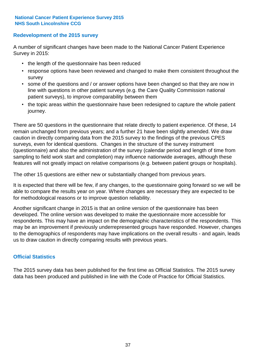## **Redevelopment of the 2015 survey**

A number of significant changes have been made to the National Cancer Patient Experience Survey in 2015:

- the length of the questionnaire has been reduced
- response options have been reviewed and changed to make them consistent throughout the survey
- some of the questions and / or answer options have been changed so that they are now in line with questions in other patient surveys (e.g. the Care Quality Commission national patient surveys), to improve comparability between them
- the topic areas within the questionnaire have been redesigned to capture the whole patient journey.

There are 50 questions in the questionnaire that relate directly to patient experience. Of these, 14 remain unchanged from previous years; and a further 21 have been slightly amended. We draw caution in directly comparing data from the 2015 survey to the findings of the previous CPES surveys, even for identical questions. Changes in the structure of the survey instrument (questionnaire) and also the administration of the survey (calendar period and length of time from sampling to field work start and completion) may influence nationwide averages, although these features will not greatly impact on relative comparisons (e.g. between patient groups or hospitals).

The other 15 questions are either new or substantially changed from previous years.

It is expected that there will be few, if any changes, to the questionnaire going forward so we will be able to compare the results year on year. Where changes are necessary they are expected to be for methodological reasons or to improve question reliability.

Another significant change in 2015 is that an online version of the questionnaire has been developed. The online version was developed to make the questionnaire more accessible for respondents. This may have an impact on the demographic characteristics of the respondents. This may be an improvement if previously underrepresented groups have responded. However, changes to the demographics of respondents may have implications on the overall results - and again, leads us to draw caution in directly comparing results with previous years.

## **Official Statistics**

The 2015 survey data has been published for the first time as Official Statistics. The 2015 survey data has been produced and published in line with the Code of Practice for Official Statistics.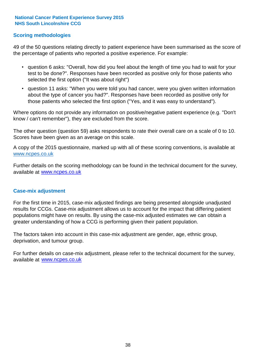## **Scoring methodologies**

49 of the 50 questions relating directly to patient experience have been summarised as the score of the percentage of patients who reported a positive experience. For example:

- question 6 asks: "Overall, how did you feel about the length of time you had to wait for your test to be done?". Responses have been recorded as positive only for those patients who selected the first option ("It was about right")
- question 11 asks: "When you were told you had cancer, were you given written information about the type of cancer you had?". Responses have been recorded as positive only for those patients who selected the first option ("Yes, and it was easy to understand").

Where options do not provide any information on positive/negative patient experience (e.g. "Don't know / can't remember"), they are excluded from the score.

The other question (question 59) asks respondents to rate their overall care on a scale of 0 to 10. Scores have been given as an average on this scale.

A copy of the 2015 questionnaire, marked up with all of these scoring conventions, is available at www.ncpes.co.uk

Further details on the scoring methodology can be found in the technical document for the survey, available at <u>www.ncpes.co.uk</u>

### **Case-mix adjustment**

For the first time in 2015, case-mix adjusted findings are being presented alongside unadjusted results for CCGs. Case-mix adjustment allows us to account for the impact that differing patient populations might have on results. By using the case-mix adjusted estimates we can obtain a greater understanding of how a CCG is performing given their patient population.

The factors taken into account in this case-mix adjustment are gender, age, ethnic group, deprivation, and tumour group.

For further details on case-mix adjustment, please refer to the technical document for the survey, available at www.ncpes.co.uk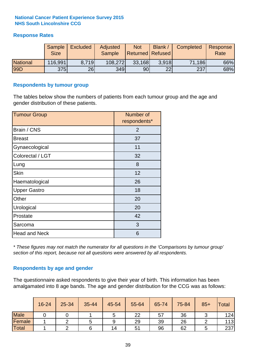## **Response Rates**

|                 | Sample<br><b>Size</b> | <b>Excluded</b> | Adjusted<br><b>Sample</b> | <b>Not</b><br><b>Returned Refused</b> | Blank / | Completed | Response<br>Rate |
|-----------------|-----------------------|-----------------|---------------------------|---------------------------------------|---------|-----------|------------------|
| <b>National</b> | 116,991               | 8.719           | 108,272                   | 33,168                                | 3.918   | 71,186    | 66%              |
| 99D             | <b>375</b>            | 26              | 349                       | 90 <sub>l</sub>                       | 22      | 237       | 68%              |

### **Respondents by tumour group**

The tables below show the numbers of patients from each tumour group and the age and gender distribution of these patients.

| <b>Tumour Group</b>  | Number of<br>respondents* |
|----------------------|---------------------------|
| Brain / CNS          | 2                         |
| <b>Breast</b>        | 37                        |
| Gynaecological       | 11                        |
| Colorectal / LGT     | 32                        |
| Lung                 | 8                         |
| <b>Skin</b>          | 12                        |
| Haematological       | 26                        |
| <b>Upper Gastro</b>  | 18                        |
| Other                | 20                        |
| Urological           | 20                        |
| Prostate             | 42                        |
| Sarcoma              | 3                         |
| <b>Head and Neck</b> | 6                         |

*\* These figures may not match the numerator for all questions in the 'Comparisons by tumour group' section of this report, because not all questions were answered by all respondents.*

## **Respondents by age and gender**

The questionnaire asked respondents to give their year of birth. This information has been amalgamated into 8 age bands. The age and gender distribution for the CCG was as follows:

|             | 16-24 | 25-34 | 35-44 | 45-54 | 55-64 | 65-74 | 75-84 | $85+$ | Total |
|-------------|-------|-------|-------|-------|-------|-------|-------|-------|-------|
| <b>Male</b> |       |       |       | ັ     | 22    | 57    | 36    |       | 124   |
| Female      |       |       |       | 9     | 29    | 39    | 26    |       | 113   |
| Total       |       |       |       | 14    | 51    | 96    | 62    |       | 237   |